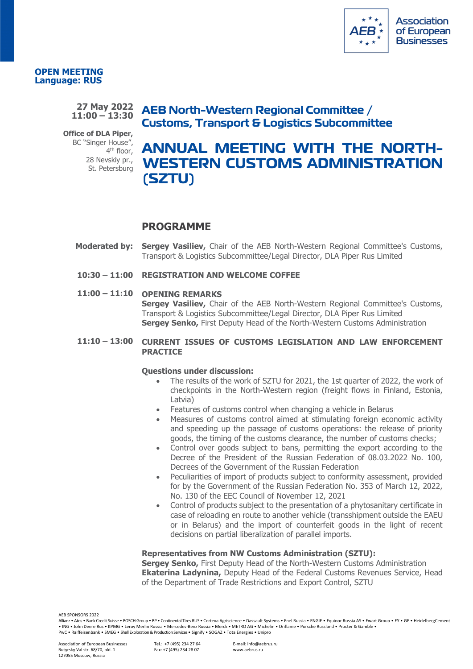

### **OPEN MEETING Language: RUS**

#### **27 May 2022 11:00 – 13:30**

**Office of DLA Piper,**  BC "Singer House", 4<sup>th</sup> floor, 28 Nevskiy pr., St. Petersburg

## **AEB North-Western Regional Committee / Customs, Transport & Logistics Subcommittee**

# **ANNUAL MEETING WITH THE NORTH-WESTERN CUSTOMS ADMINISTRATION (SZTU)**

### **PROGRAMME**

- **Moderated by: Sergey Vasiliev,** Chair of the AEB North-Western Regional Committee's Customs, Transport & Logistics Subcommittee/Legal Director, DLA Piper Rus Limited
- **10:30 – 11:00 REGISTRATION AND WELCOME COFFEE**

### **11:00 – 11:10 OPENING REMARKS**

**Sergey Vasiliev,** Chair of the AEB North-Western Regional Committee's Customs, Transport & Logistics Subcommittee/Legal Director, DLA Piper Rus Limited **Sergey Senko,** First Deputy Head of the North-Western Customs Administration

### **11:10 – 13:00 CURRENT ISSUES OF CUSTOMS LEGISLATION AND LAW ENFORCEMENT PRACTICE**

### **Questions under discussion:**

- The results of the work of SZTU for 2021, the 1st quarter of 2022, the work of checkpoints in the North-Western region (freight flows in Finland, Estonia, Latvia)
- Features of customs control when changing a vehicle in Belarus
- Measures of customs control aimed at stimulating foreign economic activity and speeding up the passage of customs operations: the release of priority goods, the timing of the customs clearance, the number of customs checks;
- Control over goods subject to bans, permitting the export according to the Decree of the President of the Russian Federation of 08.03.2022 No. 100, Decrees of the Government of the Russian Federation
- Peculiarities of import of products subject to conformity assessment, provided for by the Government of the Russian Federation No. 353 of March 12, 2022, No. 130 of the EEC Council of November 12, 2021
- Control of products subject to the presentation of a phytosanitary certificate in case of reloading en route to another vehicle (transshipment outside the EAEU or in Belarus) and the import of counterfeit goods in the light of recent decisions on partial liberalization of parallel imports.

### **Representatives from NW Customs Administration (SZTU):**

**Sergey Senko,** First Deputy Head of the North-Western Customs Administration **Ekaterina Ladynina,** Deputy Head of the Federal Customs Revenues Service, Head of the Department of Trade Restrictions and Export Control, SZTU

AEB SPONSORS 2022

Tel.: +7 (495) 234 27 64 Fax: +7 (495) 234 28 07

Allianz • Atos • Bank Credit Suisse • BOSCH Group • BP • Continental Tires RUS • Corteva Agriscience • Dassault Systems • Enel Russia • ENGIE • Equinor Russia AS • Ewart Group • EY • GE • HeidelbergCement • ING • John Deere Rus • KPMG • Leroy Merlin Russia • Mercedes-Benz Russia • Merck • METRO AG • Michelin • Oriflame • Porsche Russland • Procter & Gamble • PwC • Raiffeisenbank • SMEG • Shell Exploration & Production Services • Signify • SOGAZ • TotalEnergies • Unipro